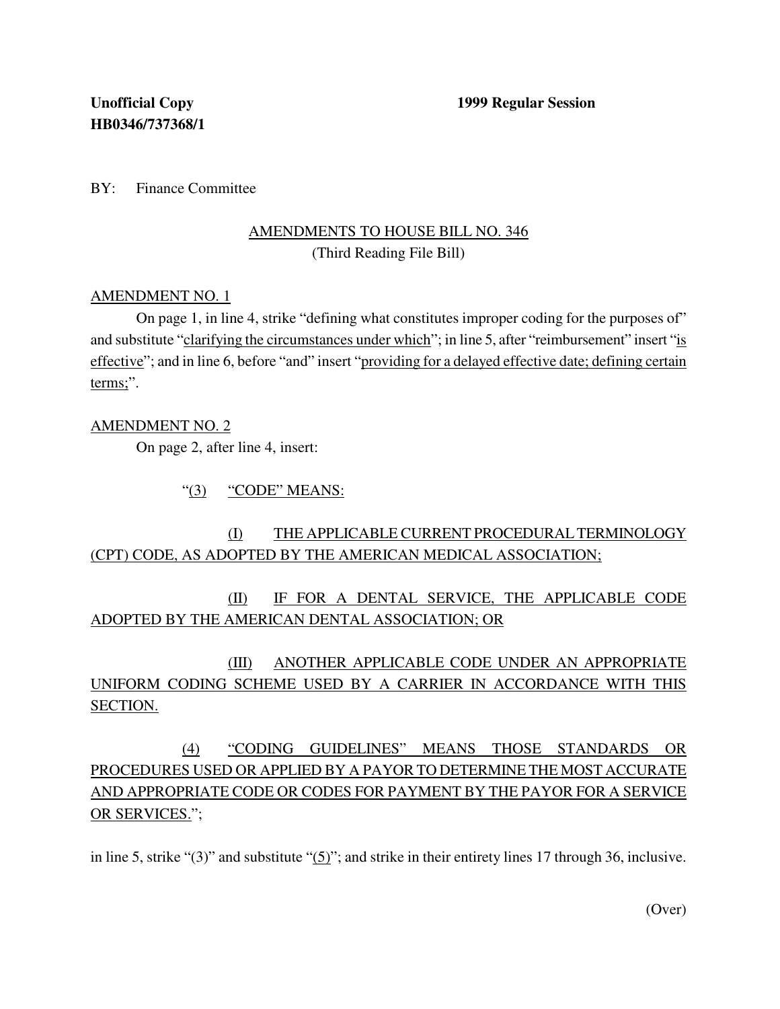BY: Finance Committee

## AMENDMENTS TO HOUSE BILL NO. 346 (Third Reading File Bill)

### AMENDMENT NO. 1

On page 1, in line 4, strike "defining what constitutes improper coding for the purposes of" and substitute "clarifying the circumstances under which"; in line 5, after "reimbursement" insert "is effective"; and in line 6, before "and" insert "providing for a delayed effective date; defining certain terms;".

### AMENDMENT NO. 2

On page 2, after line 4, insert:

"(3) "CODE" MEANS:

## (I) THE APPLICABLE CURRENT PROCEDURALTERMINOLOGY (CPT) CODE, AS ADOPTED BY THE AMERICAN MEDICAL ASSOCIATION;

(II) IF FOR A DENTAL SERVICE, THE APPLICABLE CODE ADOPTED BY THE AMERICAN DENTAL ASSOCIATION; OR

(III) ANOTHER APPLICABLE CODE UNDER AN APPROPRIATE UNIFORM CODING SCHEME USED BY A CARRIER IN ACCORDANCE WITH THIS SECTION.

# (4) "CODING GUIDELINES" MEANS THOSE STANDARDS OR PROCEDURES USED OR APPLIED BY A PAYOR TO DETERMINE THE MOST ACCURATE AND APPROPRIATE CODE OR CODES FOR PAYMENT BY THE PAYOR FOR A SERVICE OR SERVICES.";

in line 5, strike "(3)" and substitute " $(5)$ "; and strike in their entirety lines 17 through 36, inclusive.

(Over)